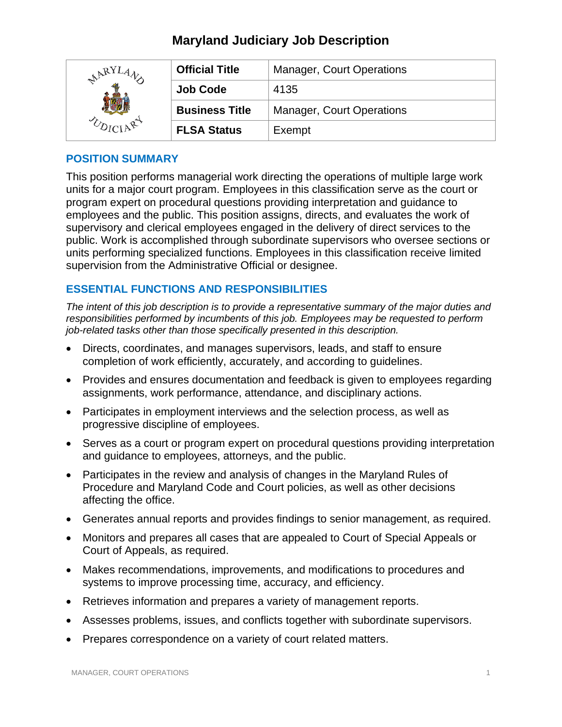# **Maryland Judiciary Job Description**

| RYJ | <b>Official Title</b> | <b>Manager, Court Operations</b> |
|-----|-----------------------|----------------------------------|
|     | <b>Job Code</b>       | 4135                             |
|     | <b>Business Title</b> | <b>Manager, Court Operations</b> |
|     | <b>FLSA Status</b>    | Exempt                           |

### **POSITION SUMMARY**

This position performs managerial work directing the operations of multiple large work units for a major court program. Employees in this classification serve as the court or program expert on procedural questions providing interpretation and guidance to employees and the public. This position assigns, directs, and evaluates the work of supervisory and clerical employees engaged in the delivery of direct services to the public. Work is accomplished through subordinate supervisors who oversee sections or units performing specialized functions. Employees in this classification receive limited supervision from the Administrative Official or designee.

# **ESSENTIAL FUNCTIONS AND RESPONSIBILITIES**

*The intent of this job description is to provide a representative summary of the major duties and responsibilities performed by incumbents of this job. Employees may be requested to perform job-related tasks other than those specifically presented in this description.*

- Directs, coordinates, and manages supervisors, leads, and staff to ensure completion of work efficiently, accurately, and according to guidelines.
- Provides and ensures documentation and feedback is given to employees regarding assignments, work performance, attendance, and disciplinary actions.
- Participates in employment interviews and the selection process, as well as progressive discipline of employees.
- Serves as a court or program expert on procedural questions providing interpretation and guidance to employees, attorneys, and the public.
- Participates in the review and analysis of changes in the Maryland Rules of Procedure and Maryland Code and Court policies, as well as other decisions affecting the office.
- Generates annual reports and provides findings to senior management, as required.
- Monitors and prepares all cases that are appealed to Court of Special Appeals or Court of Appeals, as required.
- Makes recommendations, improvements, and modifications to procedures and systems to improve processing time, accuracy, and efficiency.
- Retrieves information and prepares a variety of management reports.
- Assesses problems, issues, and conflicts together with subordinate supervisors.
- Prepares correspondence on a variety of court related matters.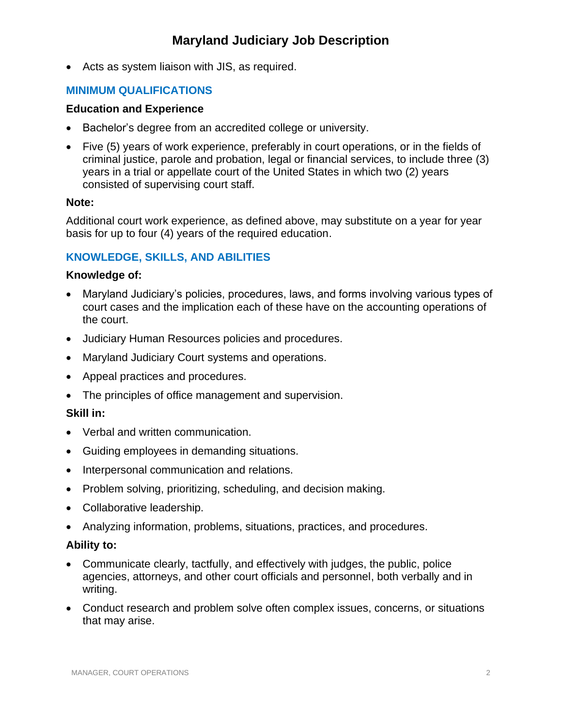• Acts as system liaison with JIS, as required.

# **MINIMUM QUALIFICATIONS**

#### **Education and Experience**

- Bachelor's degree from an accredited college or university.
- Five (5) years of work experience, preferably in court operations, or in the fields of criminal justice, parole and probation, legal or financial services, to include three (3) years in a trial or appellate court of the United States in which two (2) years consisted of supervising court staff.

#### **Note:**

Additional court work experience, as defined above, may substitute on a year for year basis for up to four (4) years of the required education.

# **KNOWLEDGE, SKILLS, AND ABILITIES**

### **Knowledge of:**

- Maryland Judiciary's policies, procedures, laws, and forms involving various types of court cases and the implication each of these have on the accounting operations of the court.
- Judiciary Human Resources policies and procedures.
- Maryland Judiciary Court systems and operations.
- Appeal practices and procedures.
- The principles of office management and supervision.

# **Skill in:**

- Verbal and written communication.
- Guiding employees in demanding situations.
- Interpersonal communication and relations.
- Problem solving, prioritizing, scheduling, and decision making.
- Collaborative leadership.
- Analyzing information, problems, situations, practices, and procedures.

# **Ability to:**

- Communicate clearly, tactfully, and effectively with judges, the public, police agencies, attorneys, and other court officials and personnel, both verbally and in writing.
- Conduct research and problem solve often complex issues, concerns, or situations that may arise.